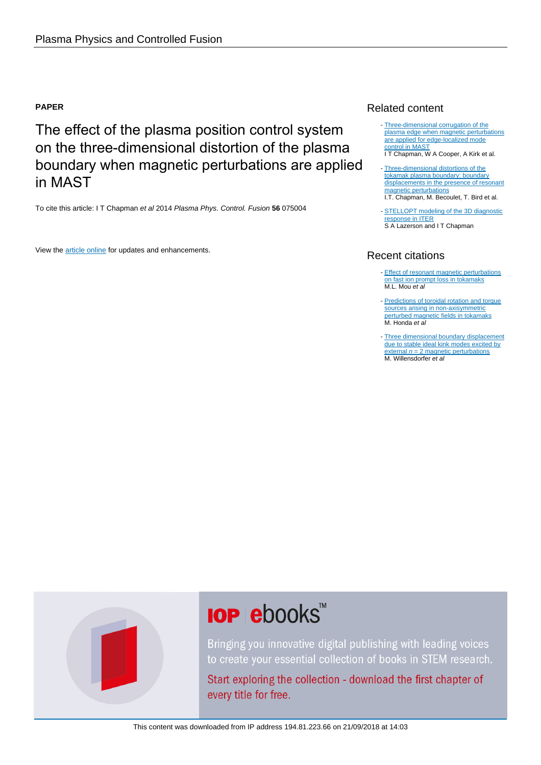# **PAPER**

The effect of the plasma position control system on the three-dimensional distortion of the plasma boundary when magnetic perturbations are applied in MAST

To cite this article: I T Chapman et al 2014 Plasma Phys. Control. Fusion **56** 075004

View the [article online](https://doi.org/10.1088/0741-3335/56/7/075004) for updates and enhancements.

# Related content

- [Three-dimensional corrugation of the](http://iopscience.iop.org/article/10.1088/0741-3335/54/10/105013) [plasma edge when magnetic perturbations](http://iopscience.iop.org/article/10.1088/0741-3335/54/10/105013) [are applied for edge-localized mode](http://iopscience.iop.org/article/10.1088/0741-3335/54/10/105013) [control in MAST](http://iopscience.iop.org/article/10.1088/0741-3335/54/10/105013) I T Chapman, W A Cooper, A Kirk et al.
- [Three-dimensional distortions of the](http://iopscience.iop.org/article/10.1088/0029-5515/54/8/083006) [tokamak plasma boundary: boundary](http://iopscience.iop.org/article/10.1088/0029-5515/54/8/083006) [displacements in the presence of resonant](http://iopscience.iop.org/article/10.1088/0029-5515/54/8/083006) [magnetic perturbations](http://iopscience.iop.org/article/10.1088/0029-5515/54/8/083006) I.T. Chapman, M. Becoulet, T. Bird et al.
- **STELLOPT** modeling of the 3D diagnostic ponse in ITER S A Lazerson and I T Chapman

# Recent citations

- **[Effect of resonant magnetic perturbations](http://iopscience.iop.org/0029-5515/57/4/046023)** [on fast ion prompt loss in tokamaks](http://iopscience.iop.org/0029-5515/57/4/046023)<br>M.L. Mou *et al*
- [Predictions of toroidal rotation and torque](http://iopscience.iop.org/0029-5515/57/11/116050) [sources arising in non-axisymmetric](http://iopscience.iop.org/0029-5515/57/11/116050) [perturbed magnetic fields in tokamaks](http://iopscience.iop.org/0029-5515/57/11/116050) M. Honda et al.
- [Three dimensional boundary displacement](http://iopscience.iop.org/0029-5515/57/11/116047) [due to stable ideal kink modes excited by](http://iopscience.iop.org/0029-5515/57/11/116047) [external](http://iopscience.iop.org/0029-5515/57/11/116047)  $n = 2$  $n = 2$  magnetic perturbations M. Willensdorfer et al

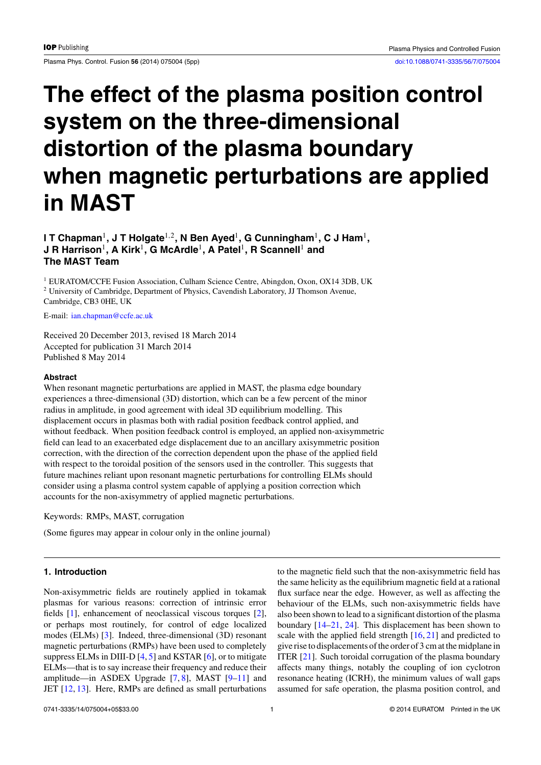Plasma Phys. Control. Fusion 56 (2014) 075004 (5pp) [doi:10.1088/0741-3335/56/7/075004](http://dx.doi.org/10.1088/0741-3335/56/7/075004)

# **The effect of the plasma position control system on the three-dimensional distortion of the plasma boundary when magnetic perturbations are applied in MAST**

**I T Chapman**1**, J T Holgate**1*,*2**, N Ben Ayed**1**, G Cunningham**1**, C J Ham**1**, J R Harrison**1**, A Kirk**1**, G McArdle**1**, A Patel**1**, R Scannell**<sup>1</sup> **and The MAST Team**

<sup>1</sup> EURATOM/CCFE Fusion Association, Culham Science Centre, Abingdon, Oxon, OX14 3DB, UK <sup>2</sup> University of Cambridge, Department of Physics, Cavendish Laboratory, JJ Thomson Avenue, Cambridge, CB3 0HE, UK

E-mail: [ian.chapman@ccfe.ac.uk](mailto: ian.chapman@ccfe.ac.uk)

Received 20 December 2013, revised 18 March 2014 Accepted for publication 31 March 2014 Published 8 May 2014

### **Abstract**

When resonant magnetic perturbations are applied in MAST, the plasma edge boundary experiences a three-dimensional (3D) distortion, which can be a few percent of the minor radius in amplitude, in good agreement with ideal 3D equilibrium modelling. This displacement occurs in plasmas both with radial position feedback control applied, and without feedback. When position feedback control is employed, an applied non-axisymmetric field can lead to an exacerbated edge displacement due to an ancillary axisymmetric position correction, with the direction of the correction dependent upon the phase of the applied field with respect to the toroidal position of the sensors used in the controller. This suggests that future machines reliant upon resonant magnetic perturbations for controlling ELMs should consider using a plasma control system capable of applying a position correction which accounts for the non-axisymmetry of applied magnetic perturbations.

Keywords: RMPs, MAST, corrugation

(Some figures may appear in colour only in the online journal)

## **1. Introduction**

Non-axisymmetric fields are routinely applied in tokamak plasmas for various reasons: correction of intrinsic error fields [\[1\]](#page-4-0), enhancement of neoclassical viscous torques [\[2\]](#page-4-0), or perhaps most routinely, for control of edge localized modes (ELMs) [\[3\]](#page-5-0). Indeed, three-dimensional (3D) resonant magnetic perturbations (RMPs) have been used to completely suppress ELMs in DIII-D  $[4, 5]$  $[4, 5]$  $[4, 5]$  and KSTAR  $[6]$ , or to mitigate ELMs—that is to say increase their frequency and reduce their amplitude—in ASDEX Upgrade  $[7, 8]$  $[7, 8]$  $[7, 8]$ , MAST  $[9-11]$  and JET [\[12,](#page-5-0) [13\]](#page-5-0). Here, RMPs are defined as small perturbations

to the magnetic field such that the non-axisymmetric field has the same helicity as the equilibrium magnetic field at a rational flux surface near the edge. However, as well as affecting the behaviour of the ELMs, such non-axisymmetric fields have also been shown to lead to a significant distortion of the plasma boundary [\[14–21,](#page-5-0) [24\]](#page-5-0). This displacement has been shown to scale with the applied field strength  $[16, 21]$  $[16, 21]$  $[16, 21]$  and predicted to give rise to displacements of the order of 3 cm at the midplane in ITER [\[21\]](#page-5-0). Such toroidal corrugation of the plasma boundary affects many things, notably the coupling of ion cyclotron resonance heating (ICRH), the minimum values of wall gaps assumed for safe operation, the plasma position control, and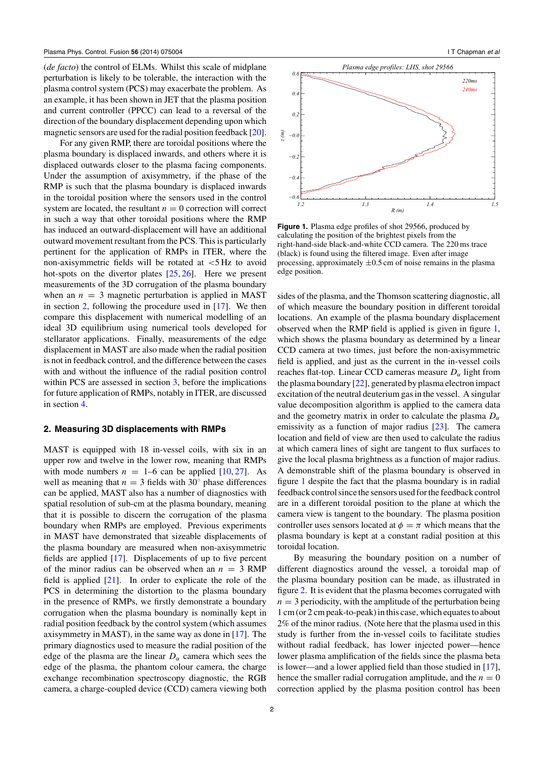(*de facto*) the control of ELMs. Whilst this scale of midplane perturbation is likely to be tolerable, the interaction with the plasma control system (PCS) may exacerbate the problem. As an example, it has been shown in JET that the plasma position and current controller (PPCC) can lead to a reversal of the direction of the boundary displacement depending upon which magnetic sensors are used for the radial position feedback [\[20\]](#page-5-0).

For any given RMP, there are toroidal positions where the plasma boundary is displaced inwards, and others where it is displaced outwards closer to the plasma facing components. Under the assumption of axisymmetry, if the phase of the RMP is such that the plasma boundary is displaced inwards in the toroidal position where the sensors used in the control system are located, the resultant  $n = 0$  correction will correct in such a way that other toroidal positions where the RMP has induced an outward-displacement will have an additional outward movement resultant from the PCS. This is particularly pertinent for the application of RMPs in ITER, where the non-axisymmetric fields will be rotated at *<*5 Hz to avoid hot-spots on the divertor plates [\[25,](#page-5-0) [26\]](#page-5-0). Here we present measurements of the 3D corrugation of the plasma boundary when an  $n = 3$  magnetic perturbation is applied in MAST in section 2, following the procedure used in [\[17\]](#page-5-0). We then compare this displacement with numerical modelling of an ideal 3D equilibrium using numerical tools developed for stellarator applications. Finally, measurements of the edge displacement in MAST are also made when the radial position is not in feedback control, and the difference between the cases with and without the influence of the radial position control within PCS are assessed in section [3,](#page-3-0) before the implications for future application of RMPs, notably in ITER, are discussed in section [4.](#page-4-0)

## **2. Measuring 3D displacements with RMPs**

MAST is equipped with 18 in-vessel coils, with six in an upper row and twelve in the lower row, meaning that RMPs with mode numbers  $n = 1-6$  can be applied [\[10,](#page-5-0) [27\]](#page-5-0). As well as meaning that  $n = 3$  fields with 30 $\degree$  phase differences can be applied, MAST also has a number of diagnostics with spatial resolution of sub-cm at the plasma boundary, meaning that it is possible to discern the corrugation of the plasma boundary when RMPs are employed. Previous experiments in MAST have demonstrated that sizeable displacements of the plasma boundary are measured when non-axisymmetric fields are applied [\[17\]](#page-5-0). Displacements of up to five percent of the minor radius can be observed when an  $n = 3$  RMP field is applied [\[21\]](#page-5-0). In order to explicate the role of the PCS in determining the distortion to the plasma boundary in the presence of RMPs, we firstly demonstrate a boundary corrugation when the plasma boundary is nominally kept in radial position feedback by the control system (which assumes axisymmetry in MAST), in the same way as done in [\[17\]](#page-5-0). The primary diagnostics used to measure the radial position of the edge of the plasma are the linear  $D_{\alpha}$  camera which sees the edge of the plasma, the phantom colour camera, the charge exchange recombination spectroscopy diagnostic, the RGB camera, a charge-coupled device (CCD) camera viewing both



**Figure 1.** Plasma edge profiles of shot 29566, produced by calculating the position of the brightest pixels from the right-hand-side black-and-white CCD camera. The 220 ms trace (black) is found using the filtered image. Even after image processing, approximately  $\pm 0.5$  cm of noise remains in the plasma edge position.

sides of the plasma, and the Thomson scattering diagnostic, all of which measure the boundary position in different toroidal locations. An example of the plasma boundary displacement observed when the RMP field is applied is given in figure 1, which shows the plasma boundary as determined by a linear CCD camera at two times, just before the non-axisymmetric field is applied, and just as the current in the in-vessel coils reaches flat-top. Linear CCD cameras measure  $D_{\alpha}$  light from the plasma boundary [\[22\]](#page-5-0), generated by plasma electron impact excitation of the neutral deuterium gas in the vessel. A singular value decomposition algorithm is applied to the camera data and the geometry matrix in order to calculate the plasma  $D_{\alpha}$ emissivity as a function of major radius  $[23]$ . The camera location and field of view are then used to calculate the radius at which camera lines of sight are tangent to flux surfaces to give the local plasma brightness as a function of major radius. A demonstrable shift of the plasma boundary is observed in figure 1 despite the fact that the plasma boundary is in radial feedback control since the sensors used for the feedback control are in a different toroidal position to the plane at which the camera view is tangent to the boundary. The plasma position controller uses sensors located at  $\phi = \pi$  which means that the plasma boundary is kept at a constant radial position at this toroidal location.

By measuring the boundary position on a number of different diagnostics around the vessel, a toroidal map of the plasma boundary position can be made, as illustrated in figure [2.](#page-3-0) It is evident that the plasma becomes corrugated with  $n = 3$  periodicity, with the amplitude of the perturbation being 1 cm (or 2 cm peak-to-peak) in this case, which equates to about 2% of the minor radius. (Note here that the plasma used in this study is further from the in-vessel coils to facilitate studies without radial feedback, has lower injected power—hence lower plasma amplification of the fields since the plasma beta is lower—and a lower applied field than those studied in [\[17\]](#page-5-0), hence the smaller radial corrugation amplitude, and the  $n = 0$ correction applied by the plasma position control has been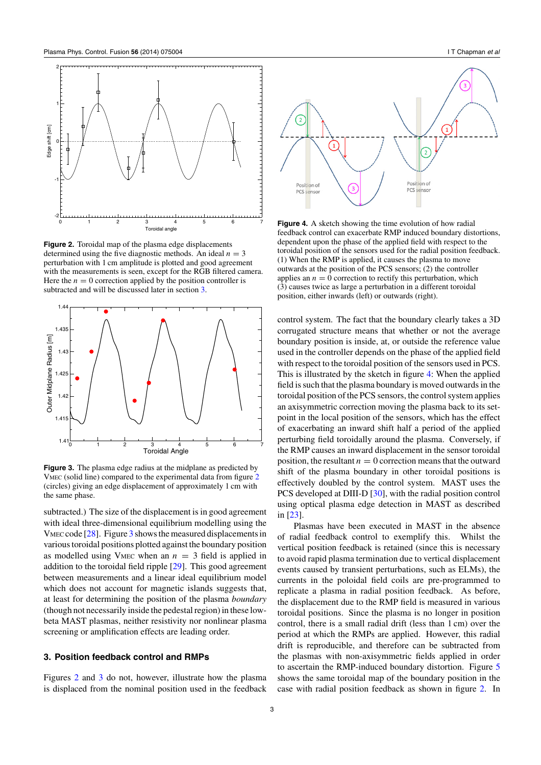<span id="page-3-0"></span>

**Figure 2.** Toroidal map of the plasma edge displacements determined using the five diagnostic methods. An ideal  $n = 3$ perturbation with 1 cm amplitude is plotted and good agreement with the measurements is seen, except for the RGB filtered camera. Here the  $n = 0$  correction applied by the position controller is subtracted and will be discussed later in section 3.



**Figure 3.** The plasma edge radius at the midplane as predicted by VMEC (solid line) compared to the experimental data from figure 2 (circles) giving an edge displacement of approximately 1 cm with the same phase.

subtracted.) The size of the displacement is in good agreement with ideal three-dimensional equilibrium modelling using the VMEC code [\[28\]](#page-5-0). Figure 3 shows the measured displacements in various toroidal positions plotted against the boundary position as modelled using VMEC when an  $n = 3$  field is applied in addition to the toroidal field ripple [\[29\]](#page-5-0). This good agreement between measurements and a linear ideal equilibrium model which does not account for magnetic islands suggests that, at least for determining the position of the plasma *boundary* (though not necessarily inside the pedestal region) in these lowbeta MAST plasmas, neither resistivity nor nonlinear plasma screening or amplification effects are leading order.

## **3. Position feedback control and RMPs**

Figures 2 and 3 do not, however, illustrate how the plasma is displaced from the nominal position used in the feedback



**Figure 4.** A sketch showing the time evolution of how radial feedback control can exacerbate RMP induced boundary distortions, dependent upon the phase of the applied field with respect to the toroidal position of the sensors used for the radial position feedback. (1) When the RMP is applied, it causes the plasma to move outwards at the position of the PCS sensors; (2) the controller applies an  $n = 0$  correction to rectify this perturbation, which (3) causes twice as large a perturbation in a different toroidal position, either inwards (left) or outwards (right).

control system. The fact that the boundary clearly takes a 3D corrugated structure means that whether or not the average boundary position is inside, at, or outside the reference value used in the controller depends on the phase of the applied field with respect to the toroidal position of the sensors used in PCS. This is illustrated by the sketch in figure 4: When the applied field is such that the plasma boundary is moved outwards in the toroidal position of the PCS sensors, the control system applies an axisymmetric correction moving the plasma back to its setpoint in the local position of the sensors, which has the effect of exacerbating an inward shift half a period of the applied perturbing field toroidally around the plasma. Conversely, if the RMP causes an inward displacement in the sensor toroidal position, the resultant  $n = 0$  correction means that the outward shift of the plasma boundary in other toroidal positions is effectively doubled by the control system. MAST uses the PCS developed at DIII-D [\[30\]](#page-5-0), with the radial position control using optical plasma edge detection in MAST as described in [\[23\]](#page-5-0).

Plasmas have been executed in MAST in the absence of radial feedback control to exemplify this. Whilst the vertical position feedback is retained (since this is necessary to avoid rapid plasma termination due to vertical displacement events caused by transient perturbations, such as ELMs), the currents in the poloidal field coils are pre-programmed to replicate a plasma in radial position feedback. As before, the displacement due to the RMP field is measured in various toroidal positions. Since the plasma is no longer in position control, there is a small radial drift (less than 1 cm) over the period at which the RMPs are applied. However, this radial drift is reproducible, and therefore can be subtracted from the plasmas with non-axisymmetric fields applied in order to ascertain the RMP-induced boundary distortion. Figure [5](#page-4-0) shows the same toroidal map of the boundary position in the case with radial position feedback as shown in figure 2. In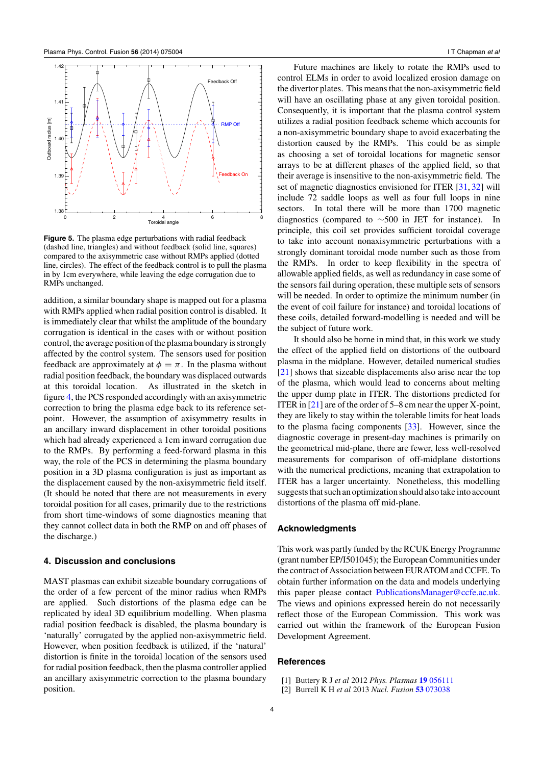<span id="page-4-0"></span>

**Figure 5.** The plasma edge perturbations with radial feedback (dashed line, triangles) and without feedback (solid line, squares) compared to the axisymmetric case without RMPs applied (dotted line, circles). The effect of the feedback control is to pull the plasma in by 1cm everywhere, while leaving the edge corrugation due to RMPs unchanged.

addition, a similar boundary shape is mapped out for a plasma with RMPs applied when radial position control is disabled. It is immediately clear that whilst the amplitude of the boundary corrugation is identical in the cases with or without position control, the average position of the plasma boundary is strongly affected by the control system. The sensors used for position feedback are approximately at  $\phi = \pi$ . In the plasma without radial position feedback, the boundary was displaced outwards at this toroidal location. As illustrated in the sketch in figure [4,](#page-3-0) the PCS responded accordingly with an axisymmetric correction to bring the plasma edge back to its reference setpoint. However, the assumption of axisymmetry results in an ancillary inward displacement in other toroidal positions which had already experienced a 1cm inward corrugation due to the RMPs. By performing a feed-forward plasma in this way, the role of the PCS in determining the plasma boundary position in a 3D plasma configuration is just as important as the displacement caused by the non-axisymmetric field itself. (It should be noted that there are not measurements in every toroidal position for all cases, primarily due to the restrictions from short time-windows of some diagnostics meaning that they cannot collect data in both the RMP on and off phases of the discharge.)

#### **4. Discussion and conclusions**

MAST plasmas can exhibit sizeable boundary corrugations of the order of a few percent of the minor radius when RMPs are applied. Such distortions of the plasma edge can be replicated by ideal 3D equilibrium modelling. When plasma radial position feedback is disabled, the plasma boundary is 'naturally' corrugated by the applied non-axisymmetric field. However, when position feedback is utilized, if the 'natural' distortion is finite in the toroidal location of the sensors used for radial position feedback, then the plasma controller applied an ancillary axisymmetric correction to the plasma boundary position.

Future machines are likely to rotate the RMPs used to control ELMs in order to avoid localized erosion damage on the divertor plates. This means that the non-axisymmetric field will have an oscillating phase at any given toroidal position. Consequently, it is important that the plasma control system utilizes a radial position feedback scheme which accounts for a non-axisymmetric boundary shape to avoid exacerbating the distortion caused by the RMPs. This could be as simple as choosing a set of toroidal locations for magnetic sensor arrays to be at different phases of the applied field, so that their average is insensitive to the non-axisymmetric field. The set of magnetic diagnostics envisioned for ITER [\[31,](#page-5-0) [32\]](#page-5-0) will include 72 saddle loops as well as four full loops in nine sectors. In total there will be more than 1700 magnetic diagnostics (compared to ∼500 in JET for instance). In principle, this coil set provides sufficient toroidal coverage to take into account nonaxisymmetric perturbations with a strongly dominant toroidal mode number such as those from the RMPs. In order to keep flexibility in the spectra of allowable applied fields, as well as redundancy in case some of the sensors fail during operation, these multiple sets of sensors will be needed. In order to optimize the minimum number (in the event of coil failure for instance) and toroidal locations of these coils, detailed forward-modelling is needed and will be the subject of future work.

It should also be borne in mind that, in this work we study the effect of the applied field on distortions of the outboard plasma in the midplane. However, detailed numerical studies [\[21\]](#page-5-0) shows that sizeable displacements also arise near the top of the plasma, which would lead to concerns about melting the upper dump plate in ITER. The distortions predicted for ITER in [\[21\]](#page-5-0) are of the order of 5–8 cm near the upper X-point, they are likely to stay within the tolerable limits for heat loads to the plasma facing components [\[33\]](#page-5-0). However, since the diagnostic coverage in present-day machines is primarily on the geometrical mid-plane, there are fewer, less well-resolved measurements for comparison of off-midplane distortions with the numerical predictions, meaning that extrapolation to ITER has a larger uncertainty. Nonetheless, this modelling suggests that such an optimization should also take into account distortions of the plasma off mid-plane.

#### **Acknowledgments**

This work was partly funded by the RCUK Energy Programme (grant number EP/I501045); the European Communities under the contract of Association between EURATOM and CCFE. To obtain further information on the data and models underlying this paper please contact [PublicationsManager@ccfe.ac.uk.](http://PublicationsManager@ccfe.ac.uk) The views and opinions expressed herein do not necessarily reflect those of the European Commission. This work was carried out within the framework of the European Fusion Development Agreement.

#### **References**

- [1] Buttery R J *et al* 2012 *Phys. Plasmas* **19** [056111](http://dx.doi.org/10.1063/1.3694655)
- [2] Burrell K H *et al* 2013 *Nucl. Fusion* **53** [073038](http://dx.doi.org/10.1088/0029-5515/53/7/073038)